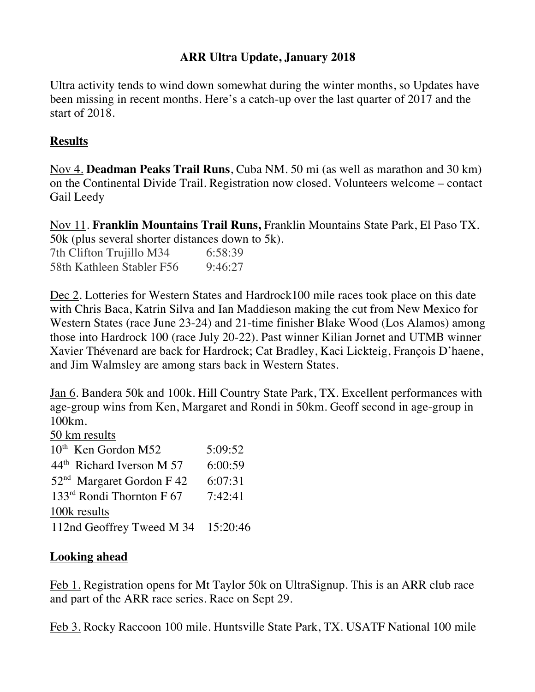## **ARR Ultra Update, January 2018**

Ultra activity tends to wind down somewhat during the winter months, so Updates have been missing in recent months. Here's a catch-up over the last quarter of 2017 and the start of 2018.

## **Results**

Nov 4. **Deadman Peaks Trail Runs**, Cuba NM. 50 mi (as well as marathon and 30 km) on the Continental Divide Trail. Registration now closed. Volunteers welcome – contact Gail Leedy

Nov 11. **Franklin Mountains Trail Runs,** Franklin Mountains State Park, El Paso TX. 50k (plus several shorter distances down to 5k).

7th Clifton Trujillo M34 6:58:39 58th Kathleen Stabler F56 9:46:27

Dec 2. Lotteries for Western States and Hardrock100 mile races took place on this date with Chris Baca, Katrin Silva and Ian Maddieson making the cut from New Mexico for Western States (race June 23-24) and 21-time finisher Blake Wood (Los Alamos) among those into Hardrock 100 (race July 20-22). Past winner Kilian Jornet and UTMB winner Xavier Thévenard are back for Hardrock; Cat Bradley, Kaci Lickteig, François D'haene, and Jim Walmsley are among stars back in Western States.

Jan 6. Bandera 50k and 100k. Hill Country State Park, TX. Excellent performances with age-group wins from Ken, Margaret and Rondi in 50km. Geoff second in age-group in 100km.

50 km results

| 10 <sup>th</sup> Ken Gordon M52       | 5:09:52 |
|---------------------------------------|---------|
| 44 <sup>th</sup> Richard Iverson M 57 | 6:00:59 |
| 52 <sup>nd</sup> Margaret Gordon F 42 | 6:07:31 |
| $133rd$ Rondi Thornton F 67           | 7:42:41 |
| 100k results                          |         |
| 112nd Geoffrey Tweed M 34 15:20:46    |         |

## **Looking ahead**

Feb 1. Registration opens for Mt Taylor 50k on UltraSignup. This is an ARR club race and part of the ARR race series. Race on Sept 29.

Feb 3. Rocky Raccoon 100 mile. Huntsville State Park, TX. USATF National 100 mile